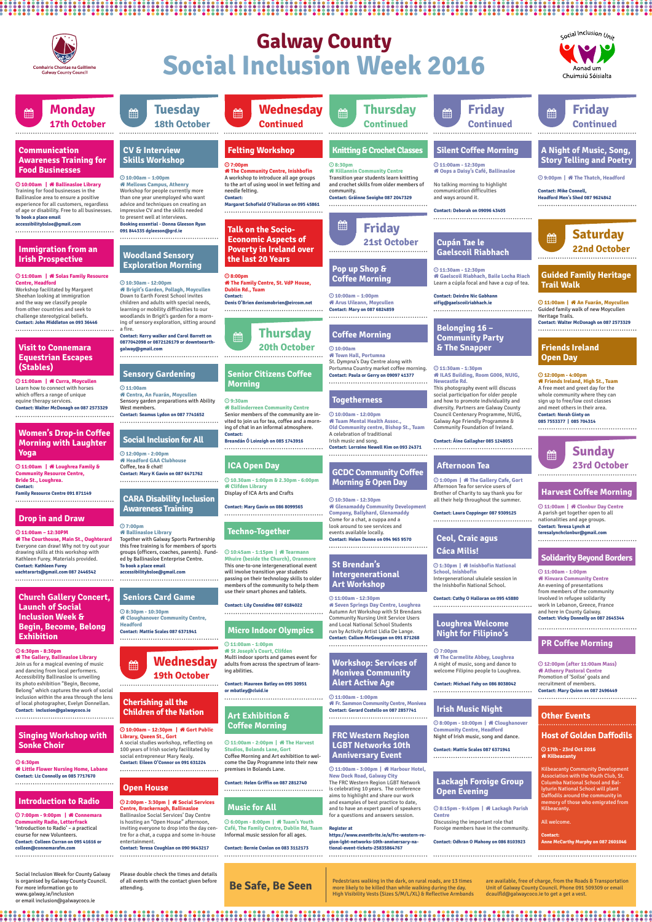## **Other Events**

# **Galway County Social Inclusion Week 2016**



Social Inclusion Week for County Galway is organised by Galway County Council. For more information go to www.galway.ie/inclusion or email inclusion@galwaycoco.ie

## **Wednesday 19th October ■■**

Please double check the times and details of all events with the contact given before attending.

#### **10:00am – 12:30pm | Gort Public Library, Queen St., Gort**

 **10.30am - 1:00pm & 2.30pm - 6:00pm Clifden Library**

Display of ICA Arts and Crafts

#### **7:00pm Ballinasloe Library**

 **2:00pm - 3:30pm | Social Services Centre, Brackernagh, Ballinasloe** Ballinasloe Social Services' Day Centre is hosting an "Open House" afternoon, inviting everyone to drop into the day centre for a chat, a cuppa and some in-house entertainment.

A social studies workshop, reflecting on 100 years of Irish society facilitated by social entrepreneur Mary Kealy. **Contact: Eileen O'Connor on 091 631224**

#### **6:30pm - 8:30pm The Gallery, Ballinasloe Library**

#### **11:00am – 12:30PM**

Together with Galway Sports Partnership this free training is for members of sports groups (officers, coaches, parents). Funded by Ballinasloe Enterprise Centre. **To book a place email accessibilitybsloe@gmail.com** 

#### **6:30pm**

 **12:00pm - 2:00pm Headford GAA Clubhouse** Coffee, tea & chat! **Contact: Mary K Gavin on 087 6471762**

 **8:30pm - 10:30pm Cloughanover Community Centre, Headford Contact: Mattie Scales 087 6371941**

## **Cherishing all the Children of the Nation**

## **ICA Open Day**

**CARA Disability Inclusion Awareness Training**

## **Social Inclusion for All**

## **Seniors Card Game**

## **Open House**

Join us for a magical evening of music and dancing from local performers. Accessibility Ballinasloe is unveiling its photo exhibition "Begin, Become, Belong" which captures the work of social inclusion within the area through the lens of local photographer, Evelyn Donnellan. **Contact: inclusion@galwaycoco.ie**

## **Church Gallery Concert, Launch of Social Inclusion Week & Begin, Become, Belong Exhibition**

## **Drop in and Draw**

 **The Courthouse, Main St., Oughterard** Everyone can draw! Why not try out your drawing skills at this workshop with Kathleen Furey. Materials provided. **Contact: Kathleen Furey uachtararts@gmail.com 087 2446542** 

## **Singing Workshop with Sonke Choir**

## **Women's Drop-in Coffee Morning with Laughter Yoga**

Comhairle Chontae na Gaillimhe

**Galway County Council** 

 **Little Flower Nursing Home, Labane Contact: Liz Connolly on 085 7717670**  

 **11:00am | Loughrea Family & Community Resource Centre, Bride St., Loughrea. Contact:**

> **Kinvara Community Centre** An evening of presentations from members of the community involved in refugee solidarity work in Lebanon, Greece, France and here in County Galway. **Contact: Vicky Donnelly on 087 2645344**

 **17th - 23rd Oct 2016** *Kilbeacanty* 

**Contact: Breandán Ó Loinsigh on 085 1743916** 

**Contact: Mary Gavin on 086 8099565**

**Contact: Teresa Coughlan on 090 9643217** 

#### **Family Resource Centre 091 871149**

 **10:45am - 1:15pm | Tearmann Mhuire (beside the Church), Oranmore** This one-to-one intergenerational event will involve transition year students passing on their technology skills to older members of the community to help them use their smart phones and tablets.

#### **11:00am - 2:00pm | The Harvest Studios, Bolands Lane, Gort** Coffee Morning and Art exhibition to wel-

come the Day Programme into their new premises in Bolands Lane.

 **6:00pm - 8:00pm | Tuam's Youth Café, The Family Centre, Dublin Rd, Tuam** Informal music session for all ages.

## **Techno-Together**

## **Art Exhibition & Coffee Morning**

## **Music for All**

#### **Contact: Lily Considine 087 6184022**

**Contact: Helen Griffin on 087 2812740**

**Contact: Bernie Conlon on 083 3112173** 

#### **Tuesday Monday Wednesday Thursday**  <sub>論</sub> Friday <sub>論</sub> **Friday**  fill **17th October 18th October Continued Continued Continued Continued Communication CV & Interview Knitting & Crochet Classes A Night of Music, Song, Felting Workshop Silent Coffee Morning Skills Workshop Story Telling and Poetry Awareness Training for 7:00pm 8:30pm 11:00am - 12:30pm Food Businesses Killannin Community Centre The Community Centre, Inishbofin Oops a Daisy's Café, Ballinasloe** A workshop to introduce all age groups  **10:00am – 1:00pm** Transition year students learn knitting  **9:00pm | The Thatch, Headford 10:00am | Ballinasloe Library Mellows Campus, Athenry** to the art of using wool in wet felting and and crochet skills from older members of No talking morning to highlight Training for food businesses in the Workshop for people currently more needle felting. community. communication difficulties **Contact: Mike Connell,**  than one year unemployed who want Ballinasloe area to ensure a positive **Contact: Gráinne Seoighe 087 2047329** and ways around it. **Headford Men's Shed 087 9624842Contact:** advice and techniques on creating an experience for all customers, regardless **Margaret Schofield O'Halloran on 095 45861** of age or disability. Free to all businesses. impressive CV and the skills needed **Contact: Deborah on 09096 43405** to present well at interviews. **To book a place email accessibilitybsloe@gmail.com Booking essential - Donna Gleeson Ryan**  ▦ **Friday Talk on the Socio-091 844335 dgleeson@grd.ie Saturday**  for the contract of the contract of the contract of the contract of the contract of the contract of the contract of the contract of the contract of the contract of the contract of the contract of the contract of the contra **Economic Aspects of Cupán Tae le 21st October Poverty in Ireland over 22nd October Immigration from an Gaelscoil Riabhach Irish Prospective Woodland Sensory the last 20 Years Exploration Morning Pop up Shop & 11:30am - 12:30pm Guided Family Heritage 11:00am | Solas Family Resource Gaelscoil Riabhach, Baile Locha Riach 8:00pm Coffee Morning The Family Centre, St. VdP House,**  Learn a cúpla focal and have a cup of tea. **Centre, Headford 10:30am - 12:00pm Trail Walk** Workshop facilitated by Margaret  **Brigit's Garden, Pollagh, Moycullen Dublin Rd., Tuam** Sheehan looking at immigration Down to Earth Forest School invites  **10:00am – 1:00pm Contact: Contact: Deirdre Nic Gabhann**  and the way we classify people children and adults with special needs,  **Arus Uileann, Moycullen oifig@gaelscoilriabhach.ie 11:00am | An Fuarán, Moycullen Denis O'Brien denismobrien@eircom.net**  from other countries and seek to learning or mobility difficulties to our Guided family walk of new Moycullen **Contact: Mary on 087 6824859** woodlands in Brigit's garden for a mornchallenge stereotypical beliefs. Heritage Trails. **Contact: John Middleton on 093 36446** ing of sensory exploration, sitting around **Contact: Walter McDonagh on 087 2573329 Belonging 16 –**  a fire. **Thursday**  the contract of the contract of the contract of the contract of the contract of the contract of the contract of the contract of the contract of the contract of the contract of the contract of the contract of the contract o **Coffee Morning Contact: Kerry walker and Carol Barrett on Community Party 0877042098 or 0872126179 or downtoearth-20th October Visit to Connemara & The Snapper Friends Ireland 10:00am galway@gmail.com Town Hall, Portumna Equestrian Escapes Open Day** St. Dympna's Day Centre along with **(Stables)** Portumna Country market coffee morning.  **11:30am - 1:30pm Senior Citizens Coffee Sensory Gardening Contact: Paula or Gerry on 09097 41377 ILAS Building, Room G006, NUIG, 12:00pm - 4:00pm 11:00am | Curra, Moycullen Friends Ireland, High St., Tuam Newcastle Rd. Morning**  This photography event will discuss Learn how to connect with horses  **11:00am** A free meet and greet day for the  **Centra, An Fuarán, Moycullen** social participation for older people whole community where they can which offers a range of unique **Togetherness** Sensory garden preparations with Ability equine therapy services.  **9:30am** and how to promote individuality and sign up to free/low cost classes diversity. Partners are Galway County and meet others in their area. **Contact: Walter McDonagh on 087 2573329** West members.  **Ballinderreen Community Centre** Senior members of the community are in-Council Centenary Programme, NUIG, **Contact: Seamus Lydon on 087 7741652 10:00am - 12:00pm Contact: Norah Ginty on 085 7553377 | 085 704314** vited to join us for tea, coffee and a morn- **Tuam Mental Health Assoc.,**  Galway Age Friendly Programme & ing of chat in an informal atmosphere. **Old Community centre, Bishop St., Tuam** Community Foundation of Ireland.



## **11:00am - 12:30pm**

A celebration of traditional Irish music and song. **Contact: Lorraine Newell Kim on 093 24371**

 **10:30am - 12:30pm Glenamaddy Community Development Company, Ballyhard, Glenamaddy** Come for a chat, a cuppa and a look around to see services and events available locally. **Contact: Helen Dunne on 094 965 9570**

 **Seven Springs Day Centre, Loughrea** Autumn Art Workshop with St Brendans Community Nursing Unit Service Users and Local National School Students run by Activity Artist Lidia De Lange. **Contact: Callum McGougan on 091 871268**

## **GCDC Community Coffee Morning & Open Day**

## **St Brendan's Intergenerational Art Workshop**

 **1:30pm | Inishbofin National School, Inishbofin** Intergenerational ukulele session in the Inishbofin National School.

#### **7:00pm**

 **The Carmelite Abbey, Loughrea** A night of music, song and dance to welcome Filipino people to Loughrea.  **11:00am | Clonbur Day Centre** A parish get together open to all nationalities and age groups. **Contact: Teresa Lynch at teresalynchclonbur@gmail.com**  

#### **11:00am - 1:00pm**

 **12:00pm (after 11:00am Mass) Athenry Pastoral Centre** Promotion of 'Soilse' goals and recruitment of members. **Contact: Mary Quinn on 087 2496449** 

## **Host of Golden Daffodils**

Kilbeacanty Community Development Association with the Youth Club, St. Columba National School and Ballyturin National School will plant Daffodils around the community in memory of those who emigrated from Kilbeacanty.

#### All welcome.

**Contact: Anne McCarthy Murphy on 087 2601046**

 **8:15pm - 9:45pm | Lackagh Parish Centre**

Discussing the important role that Foroige members have in the community.

## **Ceol, Craic agus Cáca Milis!**

## **Loughrea Welcome Night for Filipino's**

**Harvest Coffee Morning**

## **Solidarity Beyond Borders**

## **PR Coffee Morning**

## **Lackagh Foroige Group Open Evening**

## **Irish Music Night**

#### **Contact: Cathy O Halloran on 095 45880**

**Contact: Michael Fahy on 086 8038042**

**Contact: Odhran O Mahony on 086 8103923**

 **8:00pm - 10:00pm | Cloughanover Community Centre, Headford** Night of Irish music, song and dance.

**Contact: Mattie Scales 087 6371941**

 **7:00pm - 9:00pm | Connemara Community Radio, Letterfrack** 'Introduction to Radio' – a practical course for new Volunteers. **Contact: Colleen Curran on 095 41616 or colleen@connemarafm.com**

## **Introduction to Radio**

#### **11:00am - 1:00pm**

 **St Joseph's Court, Clifden** Multi indoor sports and games event for adults from across the spectrum of learning abilities.

## **Micro Indoor Olympics**

**Contact: Maureen Batley on 095 30951 or mbatley@cluid.ie**

 **11:00am - 1:00pm** 

## **Workshop: Services of Monivea Community Alert Active Age**

 **Fr. Sammon Community Centre, Monivea Contact: Gerard Costello on 087 2857741**

Pedestrians walking in the dark, on rural roads, are 13 times more likely to be killed than while walking during the day. High Visibility Vests (Sizes S/M/L/XL) & Reflective Armbands

are available, free of charge, from the Roads & Transportation Unit of Galway County Council. Phone 091 509309 or email dcaulfld@galwaycoco.ie to get a get a vest.

..................................

# **Be Safe, Be Seen**

 **11:00am - 3:00pm | Harbour Hotel, New Dock Road, Galway City** The FRC Western Region LGBT Network is celebrating 10 years. The conference aims to highlight and share our work and examples of best practice to date, and to have an expert panel of speakers for a questions and answers session.

## **FRC Western Region LGBT Networks 10th Anniversary Event**

#### **Register at**

**https://www.eventbrite.ie/e/frc-western-region-lgbt-networks-10th-anniversary-national-event-tickets-25835864767**

**Contact: Áine Gallagher 085 1248053**

 **1:00pm | The Gallery Cafe, Gort** Afternoon Tea for service users of

Brother of Charity to say thank you for all their help throughout the summer.

**Afternoon Tea**

#### **Contact: Laura Coppinger 087 9309125**